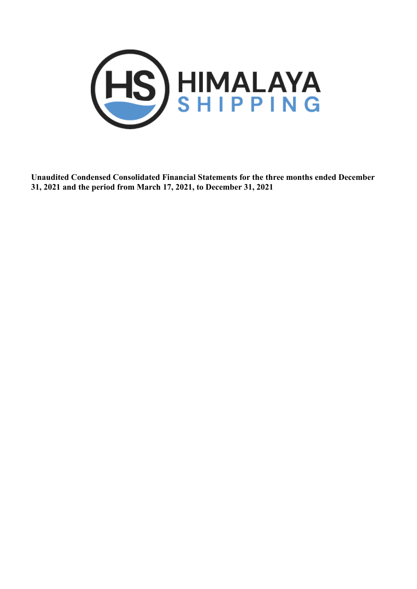

 **Unaudited Condensed Consolidated Financial Statements for the three months ended December 31, 2021 and the period from March 17, 2021, to December 31, 2021**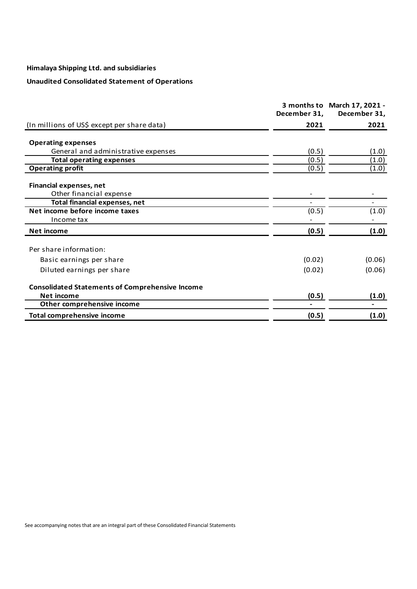# **Unaudited Consolidated Statement of Operations**

|                                                        | December 31, | 3 months to March 17, 2021 -<br>December 31, |
|--------------------------------------------------------|--------------|----------------------------------------------|
| (In millions of US\$ except per share data)            | 2021         | 2021                                         |
|                                                        |              |                                              |
| <b>Operating expenses</b>                              |              |                                              |
| General and administrative expenses                    | (0.5)        | (1.0)                                        |
| <b>Total operating expenses</b>                        | (0.5)        | (1.0)                                        |
| <b>Operating profit</b>                                | (0.5)        | (1.0)                                        |
| <b>Financial expenses, net</b>                         |              |                                              |
| Other financial expense                                |              |                                              |
| <b>Total financial expenses, net</b>                   |              |                                              |
| Net income before income taxes                         | (0.5)        | (1.0)                                        |
| Income tax                                             |              |                                              |
| <b>Net income</b>                                      | (0.5)        | (1.0)                                        |
| Per share information:                                 |              |                                              |
|                                                        |              |                                              |
| Basic earnings per share                               | (0.02)       | (0.06)                                       |
| Diluted earnings per share                             | (0.02)       | (0.06)                                       |
| <b>Consolidated Statements of Comprehensive Income</b> |              |                                              |
| Net income                                             | (0.5)        | (1.0)                                        |
| Other comprehensive income                             |              |                                              |
| <b>Total comprehensive income</b>                      | (0.5)        | (1.0)                                        |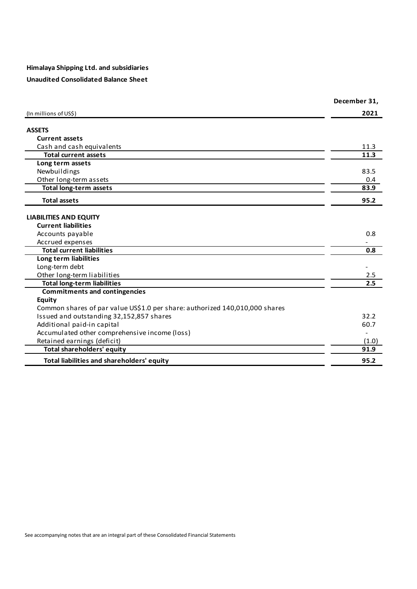# **Unaudited Consolidated Balance Sheet**

|                                                                             | December 31, |
|-----------------------------------------------------------------------------|--------------|
| (In millions of US\$)                                                       | 2021         |
| <b>ASSETS</b>                                                               |              |
| <b>Current assets</b>                                                       |              |
| Cash and cash equivalents                                                   | 11.3         |
| <b>Total current assets</b>                                                 | 11.3         |
| Long term assets                                                            |              |
| Newbuildings                                                                | 83.5         |
| Other long-term assets                                                      | 0.4          |
| <b>Total long-term assets</b>                                               | 83.9         |
| <b>Total assets</b>                                                         | 95.2         |
| <b>LIABILITIES AND EQUITY</b>                                               |              |
| <b>Current liabilities</b>                                                  |              |
| Accounts payable                                                            | 0.8          |
| Accrued expenses                                                            |              |
| <b>Total current liabilities</b>                                            | 0.8          |
| Long term liabilities                                                       |              |
| Long-term debt                                                              |              |
| Other long-term liabilities                                                 | 2.5          |
| <b>Total long-term liabilities</b>                                          | 2.5          |
| <b>Commitments and contingencies</b>                                        |              |
| <b>Equity</b>                                                               |              |
| Common shares of par value US\$1.0 per share: authorized 140,010,000 shares |              |
| Issued and outstanding 32,152,857 shares                                    | 32.2         |
| Additional paid-in capital                                                  | 60.7         |
| Accumulated other comprehensive income (loss)                               |              |
| Retained earnings (deficit)                                                 | (1.0)        |
| <b>Total shareholders' equity</b>                                           | 91.9         |
| Total liabilities and shareholders' equity                                  | 95.2         |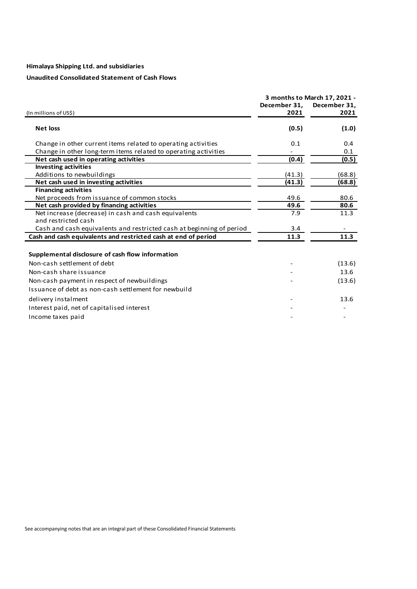# **Unaudited Consolidated Statement of Cash Flows**

|                                                                      |                      | 3 months to March 17, 2021 - |  |
|----------------------------------------------------------------------|----------------------|------------------------------|--|
| (In millions of US\$)                                                | December 31,<br>2021 | December 31,<br>2021         |  |
| <b>Net loss</b>                                                      | (0.5)                | (1.0)                        |  |
| Change in other current items related to operating activities        | 0.1                  | 0.4                          |  |
| Change in other long-term items related to operating activities      |                      | 0.1                          |  |
| Net cash used in operating activities                                | (0.4)                | (0.5)                        |  |
| <b>Investing activities</b>                                          |                      |                              |  |
| Additions to newbuildings                                            | (41.3)               | (68.8)                       |  |
| Net cash used in investing activities                                | (41.3)               | (68.8)                       |  |
| <b>Financing activities</b>                                          |                      |                              |  |
| Net proceeds from issuance of common stocks                          | 49.6                 | 80.6                         |  |
| Net cash provided by financing activities                            | 49.6                 | 80.6                         |  |
| Net increase (decrease) in cash and cash equivalents                 | 7.9                  | 11.3                         |  |
| and restricted cash                                                  |                      |                              |  |
| Cash and cash equivalents and restricted cash at beginning of period | 3.4                  |                              |  |
| Cash and cash equivalents and restricted cash at end of period       | 11.3                 | 11.3                         |  |
| Supplemental disclosure of cash flow information                     |                      |                              |  |
| Non-cash settlement of debt                                          |                      | (13.6)                       |  |
| Non-cash share issuance                                              |                      | 13.6                         |  |
| Non-cash payment in respect of newbuildings                          |                      | (13.6)                       |  |
| Issuance of debt as non-cash settlement for newbuild                 |                      |                              |  |
| delivery instalment                                                  |                      | 13.6                         |  |
| Interest paid, net of capitalised interest                           |                      |                              |  |
| Income taxes paid                                                    |                      |                              |  |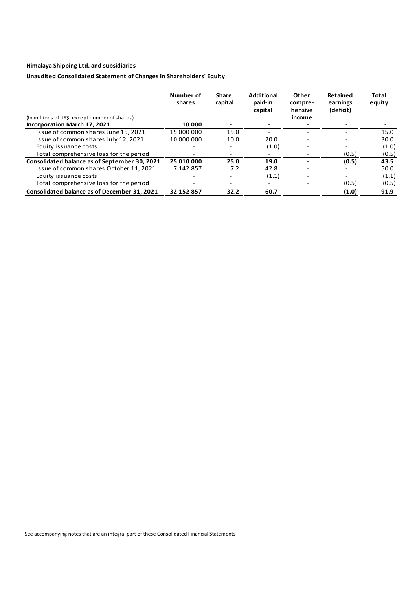# **Unaudited Consolidated Statement of Changes in Shareholders' Equity**

| (In millions of US\$, except number of shares) | Number of<br>shares | <b>Share</b><br>capital | <b>Additional</b><br>paid-in<br>capital | Other<br>compre-<br>hensive<br>income | Retained<br>earnings<br>(deficit) | Total<br>equity |
|------------------------------------------------|---------------------|-------------------------|-----------------------------------------|---------------------------------------|-----------------------------------|-----------------|
| Incorporation March 17, 2021                   | 10 000              |                         |                                         |                                       |                                   |                 |
| Issue of common shares June 15, 2021           | 15 000 000          | 15.0                    |                                         |                                       |                                   | 15.0            |
| Issue of common shares July 12, 2021           | 10 000 000          | 10.0                    | 20.0                                    |                                       |                                   | 30.0            |
| Equity issuance costs                          |                     | $\overline{a}$          | (1.0)                                   | $\overline{\phantom{0}}$              |                                   | (1.0)           |
| Total comprehensive loss for the period        |                     |                         |                                         |                                       | (0.5)                             | (0.5)           |
| Consolidated balance as of September 30, 2021  | 25 010 000          | 25.0                    | 19.0                                    |                                       | (0.5)                             | 43.5            |
| Issue of common shares October 11, 2021        | 7 142 857           | 7.2                     | 42.8                                    |                                       |                                   | 50.0            |
| Equity issuance costs                          |                     |                         | (1.1)                                   |                                       |                                   | (1.1)           |
| Total comprehensive loss for the period        |                     |                         |                                         |                                       | (0.5)                             | (0.5)           |
| Consolidated balance as of December 31, 2021   | 32 152 857          | 32.2                    | 60.7                                    |                                       | (1.0)                             | 91.9            |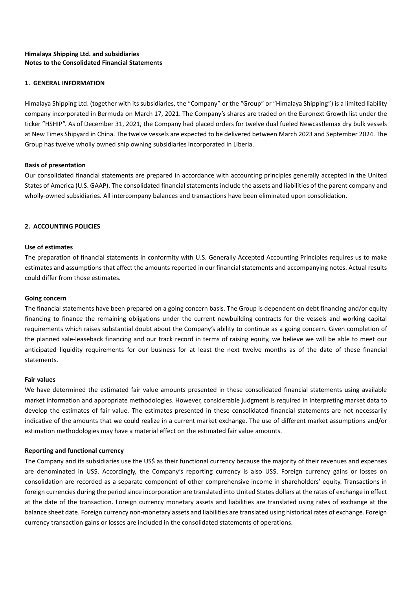# **Himalaya Shipping Ltd. and subsidiaries Notes to the Consolidated Financial Statements**

# **1. GENERAL INFORMATION**

Himalaya Shipping Ltd. (together with its subsidiaries, the "Company" or the "Group" or "Himalaya Shipping") is a limited liability company incorporated in Bermuda on March 17, 2021. The Company's shares are traded on the Euronext Growth list under the ticker "HSHIP". As of December 31, 2021, the Company had placed orders for twelve dual fueled Newcastlemax dry bulk vessels at New Times Shipyard in China. The twelve vessels are expected to be delivered between March 2023 and September 2024. The Group has twelve wholly owned ship owning subsidiaries incorporated in Liberia.

# **Basis of presentation**

Our consolidated financial statements are prepared in accordance with accounting principles generally accepted in the United States of America (U.S. GAAP). The consolidated financial statements include the assets and liabilities of the parent company and wholly-owned subsidiaries. All intercompany balances and transactions have been eliminated upon consolidation.

# **2. ACCOUNTING POLICIES**

# **Use of estimates**

The preparation of financial statements in conformity with U.S. Generally Accepted Accounting Principles requires us to make estimates and assumptions that affect the amounts reported in our financial statements and accompanying notes. Actual results could differ from those estimates.

# **Going concern**

The financial statements have been prepared on a going concern basis. The Group is dependent on debt financing and/or equity financing to finance the remaining obligations under the current newbuilding contracts for the vessels and working capital requirements which raises substantial doubt about the Company's ability to continue as a going concern. Given completion of the planned sale-leaseback financing and our track record in terms of raising equity, we believe we will be able to meet our anticipated liquidity requirements for our business for at least the next twelve months as of the date of these financial statements.

# **Fair values**

We have determined the estimated fair value amounts presented in these consolidated financial statements using available market information and appropriate methodologies. However, considerable judgment is required in interpreting market data to develop the estimates of fair value. The estimates presented in these consolidated financial statements are not necessarily indicative of the amounts that we could realize in a current market exchange. The use of different market assumptions and/or estimation methodologies may have a material effect on the estimated fair value amounts.

# **Reporting and functional currency**

The Company and its subsidiaries use the US\$ as their functional currency because the majority of their revenues and expenses are denominated in US\$. Accordingly, the Company's reporting currency is also US\$. Foreign currency gains or losses on consolidation are recorded as a separate component of other comprehensive income in shareholders' equity. Transactions in foreign currencies during the period since incorporation are translated into United States dollars at the rates of exchange in effect at the date of the transaction. Foreign currency monetary assets and liabilities are translated using rates of exchange at the balance sheet date. Foreign currency non-monetary assets and liabilities are translated using historical rates of exchange. Foreign currency transaction gains or losses are included in the consolidated statements of operations.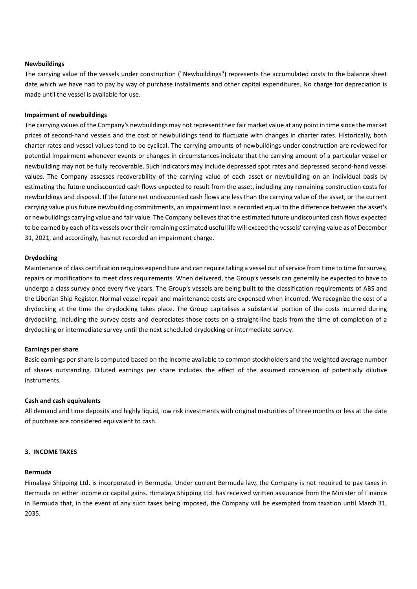### **Newbuildings**

The carrying value of the vessels under construction ("Newbuildings") represents the accumulated costs to the balance sheet date which we have had to pay by way of purchase installments and other capital expenditures. No charge for depreciation is made until the vessel is available for use.

### **Impairment of newbuildings**

The carrying values of the Company's newbuildings may not represent their fair market value at any point in time since the market prices of second-hand vessels and the cost of newbuildings tend to fluctuate with changes in charter rates. Historically, both charter rates and vessel values tend to be cyclical. The carrying amounts of newbuildings under construction are reviewed for potential impairment whenever events or changes in circumstances indicate that the carrying amount of a particular vessel or newbuilding may not be fully recoverable. Such indicators may include depressed spot rates and depressed second-hand vessel values. The Company assesses recoverability of the carrying value of each asset or newbuilding on an individual basis by estimating the future undiscounted cash flows expected to result from the asset, including any remaining construction costs for newbuildings and disposal. If the future net undiscounted cash flows are less than the carrying value of the asset, or the current carrying value plus future newbuilding commitments, an impairment loss is recorded equal to the difference between the asset's or newbuildings carrying value and fair value. The Company believes that the estimated future undiscounted cash flows expected to be earned by each of its vessels over their remaining estimated useful life will exceed the vessels' carrying value as of December 31, 2021, and accordingly, has not recorded an impairment charge.

### **Drydocking**

Maintenance of class certification requires expenditure and can require taking a vessel out of service from time to time for survey, repairs or modifications to meet class requirements. When delivered, the Group's vessels can generally be expected to have to undergo a class survey once every five years. The Group's vessels are being built to the classification requirements of ABS and the Liberian Ship Register. Normal vessel repair and maintenance costs are expensed when incurred. We recognize the cost of a drydocking at the time the drydocking takes place. The Group capitalises a substantial portion of the costs incurred during drydocking, including the survey costs and depreciates those costs on a straight-line basis from the time of completion of a drydocking or intermediate survey until the next scheduled drydocking or intermediate survey.

#### **Earnings per share**

Basic earnings per share is computed based on the income available to common stockholders and the weighted average number of shares outstanding. Diluted earnings per share includes the effect of the assumed conversion of potentially dilutive instruments.

#### **Cash and cash equivalents**

All demand and time deposits and highly liquid, low risk investments with original maturities of three months or less at the date of purchase are considered equivalent to cash.

#### **3. INCOME TAXES**

### **Bermuda**

Himalaya Shipping Ltd. is incorporated in Bermuda. Under current Bermuda law, the Company is not required to pay taxes in Bermuda on either income or capital gains. Himalaya Shipping Ltd. has received written assurance from the Minister of Finance in Bermuda that, in the event of any such taxes being imposed, the Company will be exempted from taxation until March 31, 2035.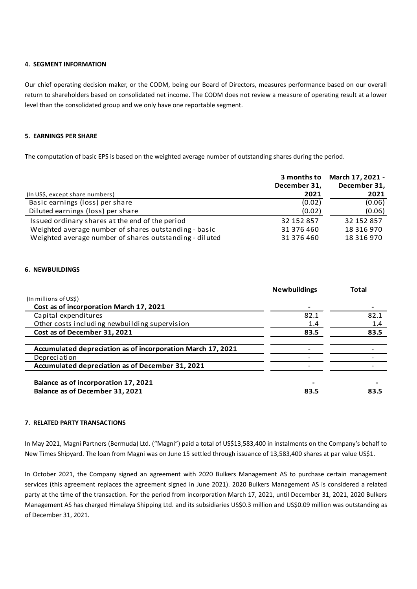# **4. SEGMENT INFORMATION**

Our chief operating decision maker, or the CODM, being our Board of Directors, measures performance based on our overall return to shareholders based on consolidated net income. The CODM does not review a measure of operating result at a lower level than the consolidated group and we only have one reportable segment.

### **5. EARNINGS PER SHARE**

The computation of basic EPS is based on the weighted average number of outstanding shares during the period.

|                                                         | 3 months to<br>December 31, | March 17, 2021 -<br>December 31, |
|---------------------------------------------------------|-----------------------------|----------------------------------|
| (In US\$, except share numbers)                         | 2021                        | 2021                             |
| Basic earnings (loss) per share                         | (0.02)                      | (0.06)                           |
| Diluted earnings (loss) per share                       | (0.02)                      | (0.06)                           |
| Issued ordinary shares at the end of the period         | 32 152 857                  | 32 152 857                       |
| Weighted average number of shares outstanding - basic   | 31 376 460                  | 18 316 970                       |
| Weighted average number of shares outstanding - diluted | 31 376 460                  | 18 316 970                       |

### **6. NEWBUILDINGS**

|                                                             | <b>Newbuildings</b> | Total |
|-------------------------------------------------------------|---------------------|-------|
| (In millions of US\$)                                       |                     |       |
| Cost as of incorporation March 17, 2021                     |                     |       |
| Capital expenditures                                        | 82.1                | 82.1  |
| Other costs including newbuilding supervision               | 1.4                 | 1.4   |
| Cost as of December 31, 2021                                | 83.5                | 83.5  |
|                                                             |                     |       |
| Accumulated depreciation as of incorporation March 17, 2021 |                     |       |
| Depreciation                                                |                     |       |
| Accumulated depreciation as of December 31, 2021            |                     |       |
|                                                             |                     |       |
| Balance as of incorporation 17, 2021                        |                     |       |
| Balance as of December 31, 2021                             | 83.5                | 83.5  |

### **7. RELATED PARTY TRANSACTIONS**

In May 2021, Magni Partners (Bermuda) Ltd. ("Magni") paid a total of US\$13,583,400 in instalments on the Company's behalf to New Times Shipyard. The loan from Magni was on June 15 settled through issuance of 13,583,400 shares at par value US\$1.

In October 2021, the Company signed an agreement with 2020 Bulkers Management AS to purchase certain management services (this agreement replaces the agreement signed in June 2021). 2020 Bulkers Management AS is considered a related party at the time of the transaction. For the period from incorporation March 17, 2021, until December 31, 2021, 2020 Bulkers Management AS has charged Himalaya Shipping Ltd. and its subsidiaries US\$0.3 million and US\$0.09 million was outstanding as of December 31, 2021.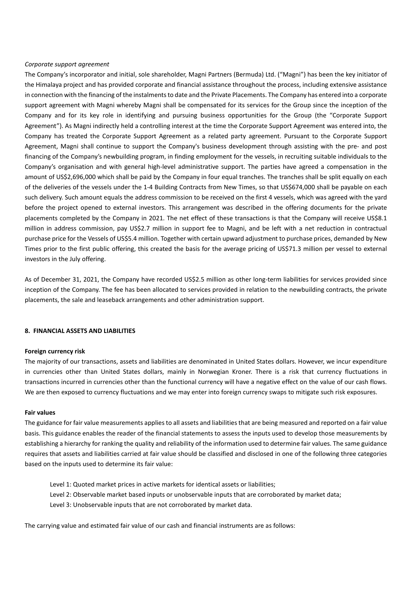### *Corporate support agreement*

The Company's incorporator and initial, sole shareholder, Magni Partners (Bermuda) Ltd. ("Magni") has been the key initiator of the Himalaya project and has provided corporate and financial assistance throughout the process, including extensive assistance in connection with the financing of the instalments to date and the Private Placements. The Company has entered into a corporate support agreement with Magni whereby Magni shall be compensated for its services for the Group since the inception of the Company and for its key role in identifying and pursuing business opportunities for the Group (the "Corporate Support Agreement"). As Magni indirectly held a controlling interest at the time the Corporate Support Agreement was entered into, the Company has treated the Corporate Support Agreement as a related party agreement. Pursuant to the Corporate Support Agreement, Magni shall continue to support the Company's business development through assisting with the pre- and post financing of the Company's newbuilding program, in finding employment for the vessels, in recruiting suitable individuals to the Company's organisation and with general high-level administrative support. The parties have agreed a compensation in the amount of US\$2,696,000 which shall be paid by the Company in four equal tranches. The tranches shall be split equally on each of the deliveries of the vessels under the 1-4 Building Contracts from New Times, so that US\$674,000 shall be payable on each such delivery. Such amount equals the address commission to be received on the first 4 vessels, which was agreed with the yard before the project opened to external investors. This arrangement was described in the offering documents for the private placements completed by the Company in 2021. The net effect of these transactions is that the Company will receive US\$8.1 million in address commission, pay US\$2.7 million in support fee to Magni, and be left with a net reduction in contractual purchase price for the Vessels of US\$5.4 million. Together with certain upward adjustment to purchase prices, demanded by New Times prior to the first public offering, this created the basis for the average pricing of US\$71.3 million per vessel to external investors in the July offering.

As of December 31, 2021, the Company have recorded US\$2.5 million as other long-term liabilities for services provided since inception of the Company. The fee has been allocated to services provided in relation to the newbuilding contracts, the private placements, the sale and leaseback arrangements and other administration support.

### **8. FINANCIAL ASSETS AND LIABILITIES**

### **Foreign currency risk**

The majority of our transactions, assets and liabilities are denominated in United States dollars. However, we incur expenditure in currencies other than United States dollars, mainly in Norwegian Kroner. There is a risk that currency fluctuations in transactions incurred in currencies other than the functional currency will have a negative effect on the value of our cash flows. We are then exposed to currency fluctuations and we may enter into foreign currency swaps to mitigate such risk exposures.

### **Fair values**

The guidance for fair value measurements applies to all assets and liabilities that are being measured and reported on a fair value basis. This guidance enables the reader of the financial statements to assess the inputs used to develop those measurements by establishing a hierarchy for ranking the quality and reliability of the information used to determine fair values. The same guidance requires that assets and liabilities carried at fair value should be classified and disclosed in one of the following three categories based on the inputs used to determine its fair value:

Level 1: Quoted market prices in active markets for identical assets or liabilities; Level 2: Observable market based inputs or unobservable inputs that are corroborated by market data; Level 3: Unobservable inputs that are not corroborated by market data.

The carrying value and estimated fair value of our cash and financial instruments are as follows: